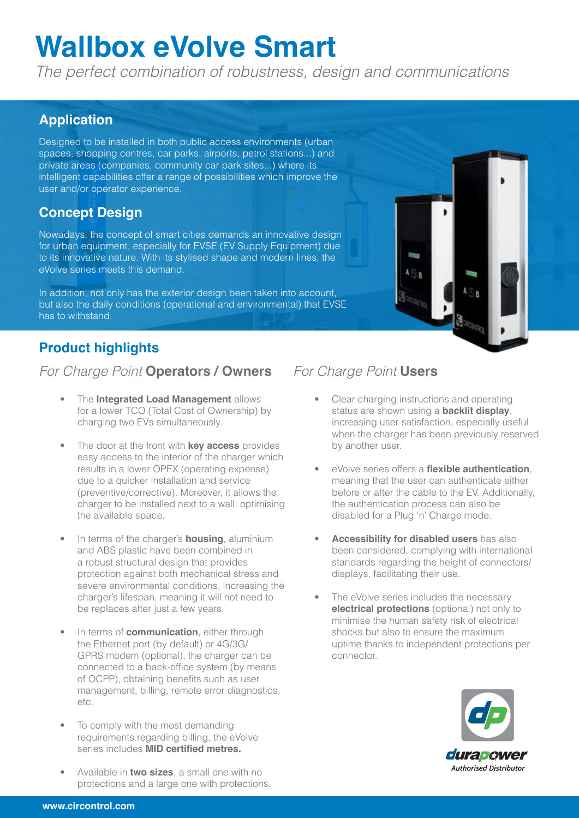# **Wallbox eVolve Smart**

*The perfect combination of robustness, design and communications*

### **Application**

Designed to be installed in both public access environments (urban spaces, shopping centres, car parks, airports, petrol stations...) and private areas (companies, community car park sites...) where its intelligent capabilities offer a range of possibilities which improve the user and/or operator experience.

## **Concept Design**

Nowadays, the concept of smart cities demands an innovative design for urban equipment, especially for EVSE (EV Supply Equipment) due to its innovative nature. With its stylised shape and modern lines, the eVolve series meets this demand.

In addition, not only has the exterior design been taken into account, but also the daily conditions (operational and environmental) that EVSE has to withstand.

# **Product highlights**

#### *For Charge Point* **Operators / Owners** *For Charge Point* **Users**

- The **Integrated Load Management** allows for a lower TCO (Total Cost of Ownership) by charging two EVs simultaneously.
- The door at the front with **key access** provides easy access to the interior of the charger which results in a lower OPEX (operating expense) due to a quicker installation and service (preventive/corrective). Moreover, it allows the charger to be installed next to a wall, optimising the available space.
- In terms of the charger's **housing**, aluminium and ABS plastic have been combined in a robust structural design that provides protection against both mechanical stress and severe environmental conditions, increasing the charger's lifespan, meaning it will not need to be replaces after just a few years.
- In terms of **communication**, either through the Ethernet port (by default) or 4G/3G/ GPRS modem (optional), the charger can be connected to a back-office system (by means of OCPP), obtaining benefits such as user management, billing, remote error diagnostics, etc.
- To comply with the most demanding requirements regarding billing, the eVolve series includes **MID certified metres.**
- Available in **two sizes**, a small one with no protections and a large one with protections.

• Clear charging instructions and operating status are shown using a **backlit display**, increasing user satisfaction, especially useful when the charger has been previously reserved by another user.

**Time**  $A \cap R$ 

- eVolve series offers a **flexible authentication**, meaning that the user can authenticate either before or after the cable to the EV. Additionally, the authentication process can also be disabled for a Plug 'n' Charge mode.
- **Accessibility for disabled users** has also been considered, complying with international standards regarding the height of connectors/ displays, facilitating their use.
- The eVolve series includes the necessary **electrical protections** (optional) not only to minimise the human safety risk of electrical shocks but also to ensure the maximum uptime thanks to independent protections per connector.